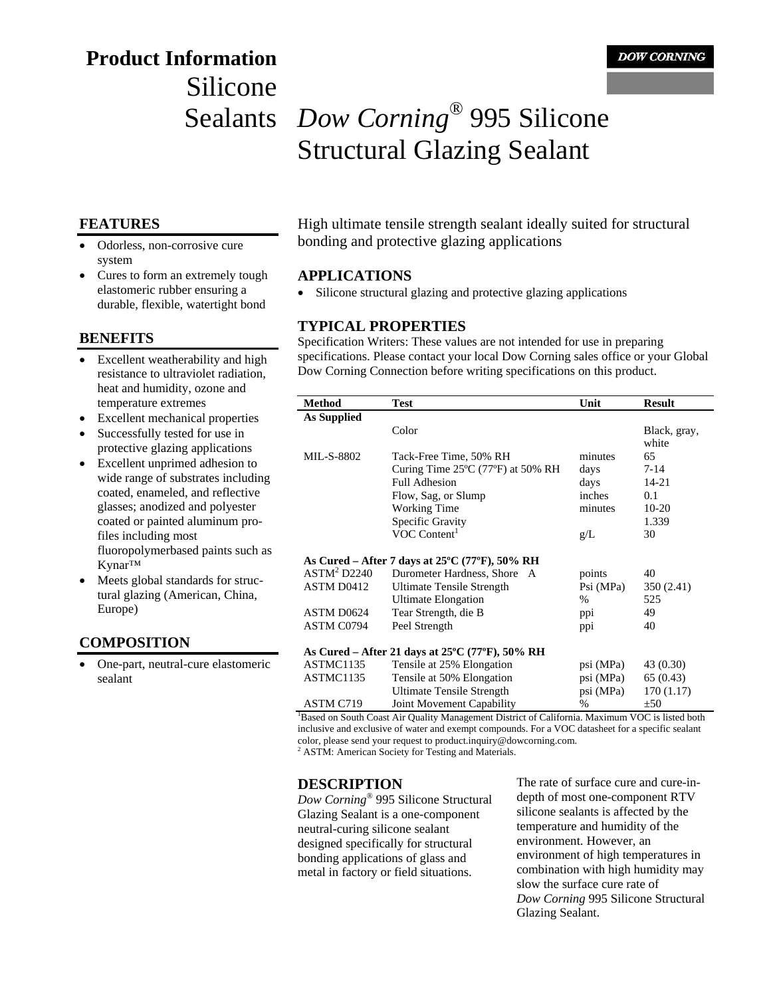# **Product Information**  Silicone

## Sealants *Dow Corning*® 995 Silicone Structural Glazing Sealant

#### **FEATURES**

- Odorless, non-corrosive cure system
- Cures to form an extremely tough elastomeric rubber ensuring a durable, flexible, watertight bond

#### **BENEFITS**

- Excellent weatherability and high resistance to ultraviolet radiation, heat and humidity, ozone and temperature extremes
- Excellent mechanical properties
- Successfully tested for use in protective glazing applications
- Excellent unprimed adhesion to wide range of substrates including coated, enameled, and reflective glasses; anodized and polyester coated or painted aluminum profiles including most fluoropolymerbased paints such as Kynar™
- Meets global standards for structural glazing (American, China, Europe)

#### **COMPOSITION**

• One-part, neutral-cure elastomeric sealant

High ultimate tensile strength sealant ideally suited for structural bonding and protective glazing applications

#### **APPLICATIONS**

Silicone structural glazing and protective glazing applications

#### **TYPICAL PROPERTIES**

Specification Writers: These values are not intended for use in preparing specifications. Please contact your local Dow Corning sales office or your Global Dow Corning Connection before writing specifications on this product.

| <b>Method</b>                                                        | <b>Test</b>                                                         | Unit          | <b>Result</b> |
|----------------------------------------------------------------------|---------------------------------------------------------------------|---------------|---------------|
| As Supplied                                                          |                                                                     |               |               |
|                                                                      | Color                                                               |               | Black, gray,  |
|                                                                      |                                                                     |               | white         |
| <b>MIL-S-8802</b>                                                    | Tack-Free Time, 50% RH                                              | minutes       | 65            |
|                                                                      | Curing Time $25^{\circ}$ C (77 $^{\circ}$ F) at 50% RH              | days          | $7 - 14$      |
|                                                                      | <b>Full Adhesion</b>                                                | days          | 14-21         |
|                                                                      | Flow, Sag, or Slump                                                 | inches        | 0.1           |
|                                                                      | <b>Working Time</b>                                                 | minutes       | $10-20$       |
|                                                                      | Specific Gravity                                                    |               | 1.339         |
|                                                                      | VOC Content <sup>1</sup>                                            | g/L           | 30            |
|                                                                      |                                                                     |               |               |
|                                                                      | As Cured – After 7 days at $25^{\circ}$ C (77 $^{\circ}$ F), 50% RH |               |               |
| ASTM <sup>2</sup> D2240                                              | Durometer Hardness, Shore A                                         | points        | 40            |
| ASTM D0412                                                           | Ultimate Tensile Strength                                           | Psi (MPa)     | 350 (2.41)    |
|                                                                      | Ultimate Elongation                                                 | $\%$          | 525           |
| ASTM D0624                                                           | Tear Strength, die B                                                | ppi           | 49            |
| ASTM C0794                                                           | Peel Strength                                                       | ppi           | 40            |
|                                                                      |                                                                     |               |               |
| As Cured – After 21 days at $25^{\circ}$ C (77 $^{\circ}$ F), 50% RH |                                                                     |               |               |
| ASTMC1135                                                            | Tensile at 25% Elongation                                           | psi (MPa)     | 43 (0.30)     |
| ASTMC1135                                                            | Tensile at 50% Elongation                                           | psi (MPa)     | 65(0.43)      |
|                                                                      | Ultimate Tensile Strength                                           | psi (MPa)     | 170(1.17)     |
| ASTM C719                                                            | Joint Movement Capability                                           | $\frac{0}{0}$ | ±50           |

<sup>1</sup>Based on South Coast Air Quality Management District of California. Maximum VOC is listed both inclusive and exclusive of water and exempt compounds. For a VOC datasheet for a specific sealant color, please send your request to product.inquiry@dowcorning.com.

<sup>2</sup> ASTM: American Society for Testing and Materials.

#### **DESCRIPTION**

*Dow Corning*® 995 Silicone Structural Glazing Sealant is a one-component neutral-curing silicone sealant designed specifically for structural bonding applications of glass and metal in factory or field situations.

The rate of surface cure and cure-indepth of most one-component RTV silicone sealants is affected by the temperature and humidity of the environment. However, an environment of high temperatures in combination with high humidity may slow the surface cure rate of *Dow Corning* 995 Silicone Structural Glazing Sealant.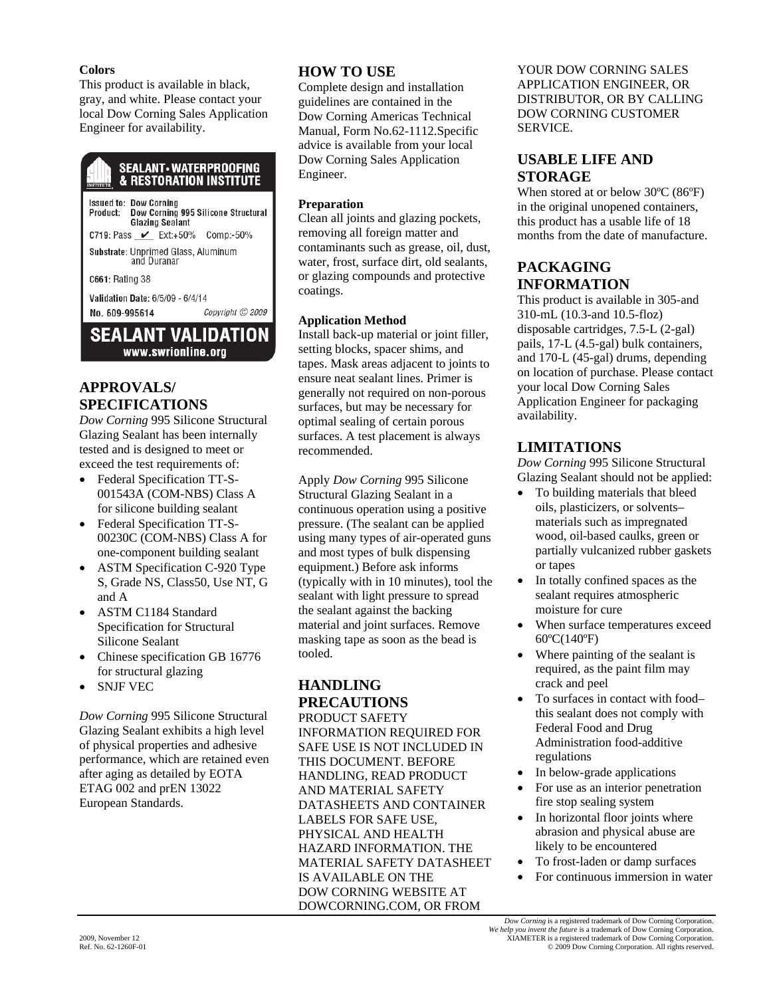#### **Colors**

This product is available in black, gray, and white. Please contact your local Dow Corning Sales Application Engineer for availability.

#### **SEALANT - WATERPROOFING & RESTORATION INSTITUTE**

Issued to: Dow Corning<br>Product: Dow Corning 995 Silicone Structural **Glazing Sealant** C719: Pass \_∠\_ Ext:+50% Comp:-50% Substrate: Unprimed Glass, Aluminum and Duranar C661: Rating 38

Validation Date: 6/5/09 - 6/4/14 No. 609-995614 Copyright © 2009

**SEALANT VALIDATION** www.swrionline.org

## **APPROVALS/ SPECIFICATIONS**

*Dow Corning* 995 Silicone Structural Glazing Sealant has been internally tested and is designed to meet or exceed the test requirements of:

- Federal Specification TT-S-001543A (COM-NBS) Class A for silicone building sealant
- Federal Specification TT-S-00230C (COM-NBS) Class A for one-component building sealant
- ASTM Specification C-920 Type S, Grade NS, Class50, Use NT, G and A
- ASTM C1184 Standard Specification for Structural Silicone Sealant
- Chinese specification GB 16776 for structural glazing
- SNJF VEC

*Dow Corning* 995 Silicone Structural Glazing Sealant exhibits a high level of physical properties and adhesive performance, which are retained even after aging as detailed by EOTA ETAG 002 and prEN 13022 European Standards.

## **HOW TO USE**

Complete design and installation guidelines are contained in the Dow Corning Americas Technical Manual, Form No.62-1112.Specific advice is available from your local Dow Corning Sales Application Engineer.

#### **Preparation**

Clean all joints and glazing pockets, removing all foreign matter and contaminants such as grease, oil, dust, water, frost, surface dirt, old sealants, or glazing compounds and protective coatings.

#### **Application Method**

Install back-up material or joint filler, setting blocks, spacer shims, and tapes. Mask areas adjacent to joints to ensure neat sealant lines. Primer is generally not required on non-porous surfaces, but may be necessary for optimal sealing of certain porous surfaces. A test placement is always recommended.

Apply *Dow Corning* 995 Silicone Structural Glazing Sealant in a continuous operation using a positive pressure. (The sealant can be applied using many types of air-operated guns and most types of bulk dispensing equipment.) Before ask informs (typically with in 10 minutes), tool the sealant with light pressure to spread the sealant against the backing material and joint surfaces. Remove masking tape as soon as the bead is tooled.

## **HANDLING PRECAUTIONS**

PRODUCT SAFETY INFORMATION REQUIRED FOR SAFE USE IS NOT INCLUDED IN THIS DOCUMENT. BEFORE HANDLING, READ PRODUCT AND MATERIAL SAFETY DATASHEETS AND CONTAINER LABELS FOR SAFE USE, PHYSICAL AND HEALTH HAZARD INFORMATION. THE MATERIAL SAFETY DATASHEET IS AVAILABLE ON THE DOW CORNING WEBSITE AT DOWCORNING.COM, OR FROM

YOUR DOW CORNING SALES APPLICATION ENGINEER, OR DISTRIBUTOR, OR BY CALLING DOW CORNING CUSTOMER SERVICE.

## **USABLE LIFE AND STORAGE**

When stored at or below 30ºC (86ºF) in the original unopened containers, this product has a usable life of 18 months from the date of manufacture.

#### **PACKAGING INFORMATION**

This product is available in 305-and 310-mL (10.3-and 10.5-floz) disposable cartridges, 7.5-L (2-gal) pails, 17-L (4.5-gal) bulk containers, and 170-L (45-gal) drums, depending on location of purchase. Please contact your local Dow Corning Sales Application Engineer for packaging availability.

## **LIMITATIONS**

*Dow Corning* 995 Silicone Structural Glazing Sealant should not be applied:

- To building materials that bleed oils, plasticizers, or solvents– materials such as impregnated wood, oil-based caulks, green or partially vulcanized rubber gaskets or tapes
- In totally confined spaces as the sealant requires atmospheric moisture for cure
- When surface temperatures exceed 60ºC(140ºF)
- Where painting of the sealant is required, as the paint film may crack and peel
- To surfaces in contact with food– this sealant does not comply with Federal Food and Drug Administration food-additive regulations
- In below-grade applications
- For use as an interior penetration fire stop sealing system
- In horizontal floor joints where abrasion and physical abuse are likely to be encountered
- To frost-laden or damp surfaces
- For continuous immersion in water